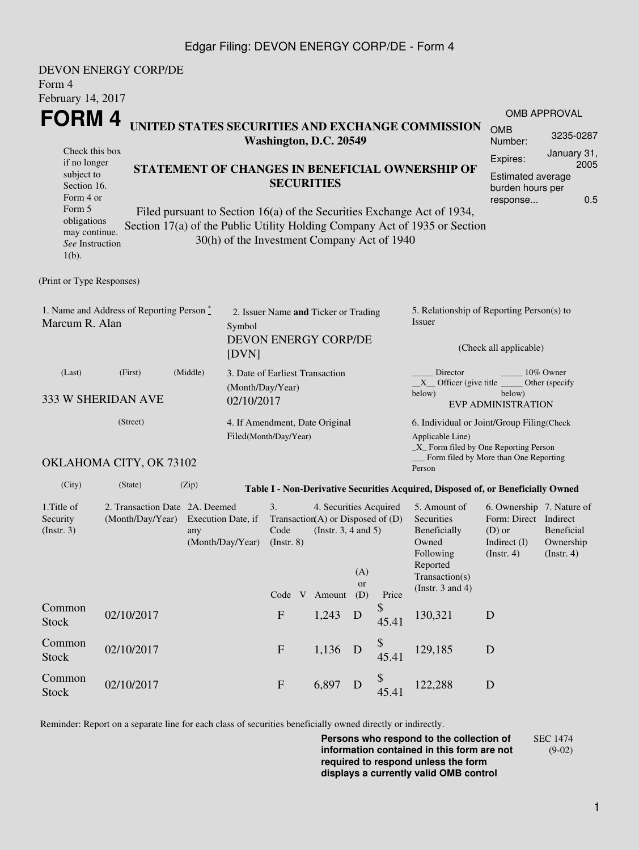## Edgar Filing: DEVON ENERGY CORP/DE - Form 4

| Form 4                                                                                                                                                                           | <b>DEVON ENERGY CORP/DE</b>                       |                                                                                 |                                                              |                                                                                            |                                                                                           |                                                                                                                                                                                                                                                              |                                                                                                                                                                 |                                                                                                                                                                                                                                                                                                                                                                      |             |  |  |  |
|----------------------------------------------------------------------------------------------------------------------------------------------------------------------------------|---------------------------------------------------|---------------------------------------------------------------------------------|--------------------------------------------------------------|--------------------------------------------------------------------------------------------|-------------------------------------------------------------------------------------------|--------------------------------------------------------------------------------------------------------------------------------------------------------------------------------------------------------------------------------------------------------------|-----------------------------------------------------------------------------------------------------------------------------------------------------------------|----------------------------------------------------------------------------------------------------------------------------------------------------------------------------------------------------------------------------------------------------------------------------------------------------------------------------------------------------------------------|-------------|--|--|--|
| February 14, 2017<br>FORM 4<br>Check this box<br>if no longer<br>subject to<br>Section 16.<br>Form 4 or<br>Form 5<br>obligations<br>may continue.<br>See Instruction<br>$1(b)$ . |                                                   |                                                                                 |                                                              | Washington, D.C. 20549<br><b>SECURITIES</b><br>30(h) of the Investment Company Act of 1940 |                                                                                           | UNITED STATES SECURITIES AND EXCHANGE COMMISSION<br>STATEMENT OF CHANGES IN BENEFICIAL OWNERSHIP OF<br>Filed pursuant to Section 16(a) of the Securities Exchange Act of 1934,<br>Section 17(a) of the Public Utility Holding Company Act of 1935 or Section | <b>OMB APPROVAL</b><br><b>OMB</b><br>3235-0287<br>Number:<br>January 31,<br>Expires:<br>2005<br><b>Estimated average</b><br>burden hours per<br>0.5<br>response |                                                                                                                                                                                                                                                                                                                                                                      |             |  |  |  |
| (Print or Type Responses)                                                                                                                                                        |                                                   |                                                                                 |                                                              |                                                                                            |                                                                                           |                                                                                                                                                                                                                                                              |                                                                                                                                                                 |                                                                                                                                                                                                                                                                                                                                                                      |             |  |  |  |
| Marcum R. Alan                                                                                                                                                                   | 1. Name and Address of Reporting Person $\degree$ | Symbol<br>[DVN]                                                                 | 2. Issuer Name and Ticker or Trading<br>DEVON ENERGY CORP/DE |                                                                                            |                                                                                           |                                                                                                                                                                                                                                                              | 5. Relationship of Reporting Person(s) to<br>Issuer<br>(Check all applicable)                                                                                   |                                                                                                                                                                                                                                                                                                                                                                      |             |  |  |  |
| (Last)                                                                                                                                                                           | (Middle)<br>(First)<br>333 W SHERIDAN AVE         | (Month/Day/Year)<br>02/10/2017                                                  | 3. Date of Earliest Transaction                              |                                                                                            |                                                                                           |                                                                                                                                                                                                                                                              | Director<br>10% Owner<br>$X$ Officer (give title $\overline{\phantom{a}}$<br>Other (specify)<br>below)<br>below)<br><b>EVP ADMINISTRATION</b>                   |                                                                                                                                                                                                                                                                                                                                                                      |             |  |  |  |
|                                                                                                                                                                                  | (Street)<br>OKLAHOMA CITY, OK 73102               |                                                                                 | 4. If Amendment, Date Original<br>Filed(Month/Day/Year)      |                                                                                            |                                                                                           |                                                                                                                                                                                                                                                              | 6. Individual or Joint/Group Filing(Check<br>Applicable Line)<br>$\_X$ Form filed by One Reporting Person<br>Form filed by More than One Reporting              |                                                                                                                                                                                                                                                                                                                                                                      |             |  |  |  |
| (City)                                                                                                                                                                           | (State)                                           | (Zip)                                                                           |                                                              |                                                                                            |                                                                                           |                                                                                                                                                                                                                                                              |                                                                                                                                                                 | Person                                                                                                                                                                                                                                                                                                                                                               |             |  |  |  |
| 1. Title of<br>Security<br>(Insert. 3)                                                                                                                                           | (Month/Day/Year)                                  | 2. Transaction Date 2A. Deemed<br>Execution Date, if<br>any<br>(Month/Day/Year) |                                                              |                                                                                            | 4. Securities Acquired<br>Transaction(A) or Disposed of $(D)$<br>(Instr. $3, 4$ and $5$ ) | (A)<br>or                                                                                                                                                                                                                                                    |                                                                                                                                                                 | Table I - Non-Derivative Securities Acquired, Disposed of, or Beneficially Owned<br>5. Amount of<br>6. Ownership 7. Nature of<br>Form: Direct Indirect<br>Securities<br>Beneficially<br><b>Beneficial</b><br>$(D)$ or<br>Owned<br>Indirect $(I)$<br>Ownership<br>Following<br>$($ Instr. 4 $)$<br>(Insert. 4)<br>Reported<br>Transaction(s)<br>(Instr. $3$ and $4$ ) |             |  |  |  |
| Common<br><b>Stock</b>                                                                                                                                                           | 02/10/2017                                        |                                                                                 |                                                              | Code V<br>${\bf F}$                                                                        | Amount<br>1,243                                                                           | (D)<br>D                                                                                                                                                                                                                                                     | Price<br>\$<br>45.41                                                                                                                                            | 130,321                                                                                                                                                                                                                                                                                                                                                              | D           |  |  |  |
| Common<br>Stock                                                                                                                                                                  | 02/10/2017                                        |                                                                                 |                                                              | $\mathbf F$                                                                                | 1,136                                                                                     | D                                                                                                                                                                                                                                                            | \$<br>45.41                                                                                                                                                     | 129,185                                                                                                                                                                                                                                                                                                                                                              | D           |  |  |  |
| Common<br><b>Stock</b>                                                                                                                                                           | 02/10/2017                                        |                                                                                 |                                                              | $\mathbf{F}$                                                                               | 6,897                                                                                     | D                                                                                                                                                                                                                                                            | \$<br>45.41                                                                                                                                                     | 122,288                                                                                                                                                                                                                                                                                                                                                              | $\mathbf D$ |  |  |  |

Reminder: Report on a separate line for each class of securities beneficially owned directly or indirectly.

**Persons who respond to the collection of information contained in this form are not required to respond unless the form displays a currently valid OMB control** SEC 1474 (9-02)